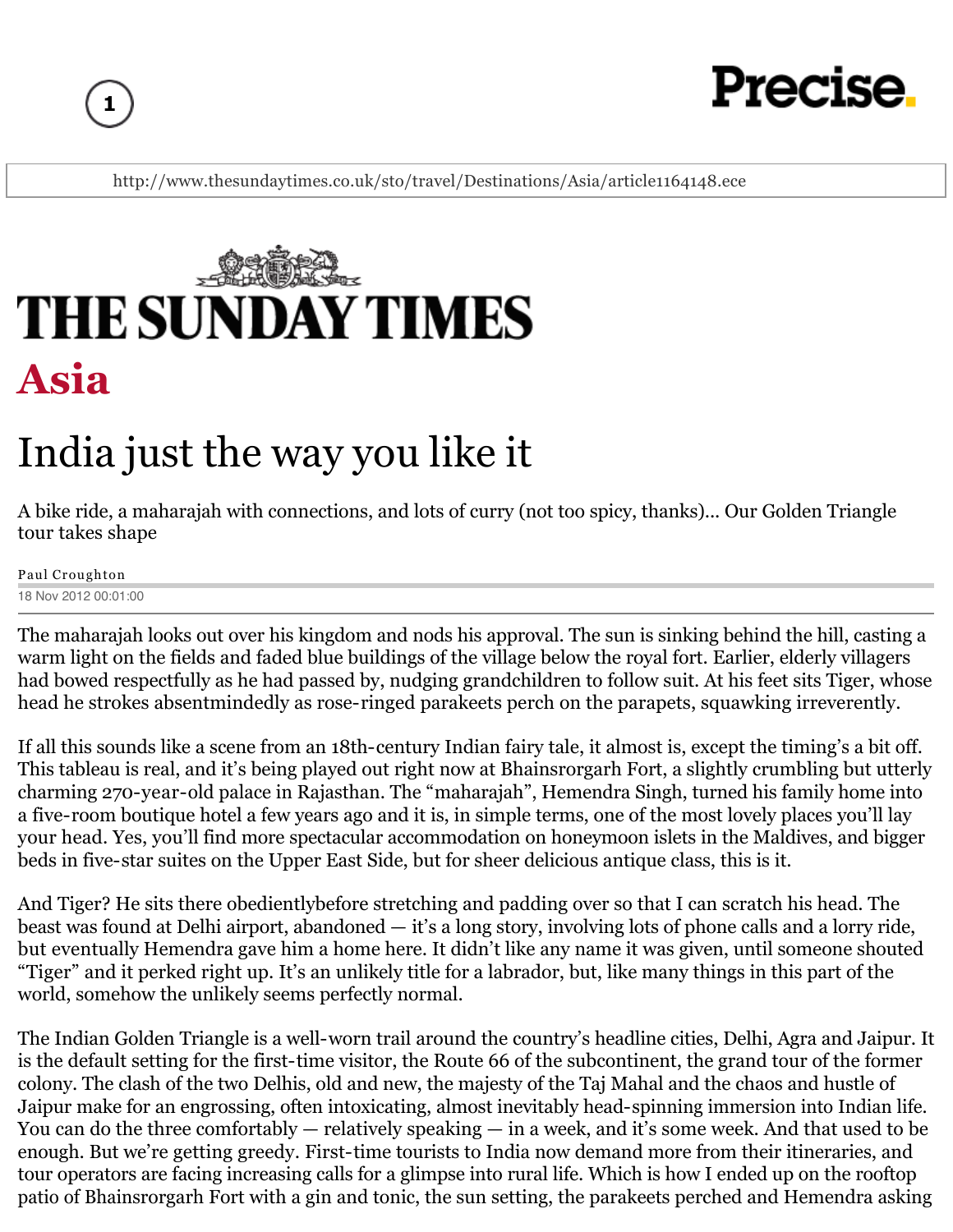



http://www.thesundaytimes.co.uk/sto/travel/Destinations/Asia/article1164148.ece



# India just the way you like it

A bike ride, a maharajah with connections, and lots of curry (not too spicy, thanks)... Our Golden Triangle tour takes shape

Paul Croughton 18 Nov 2012 00:01:00

The maharajah looks out over his kingdom and nods his approval. The sun is sinking behind the hill, casting a warm light on the fields and faded blue buildings of the village below the royal fort. Earlier, elderly villagers had bowed respectfully as he had passed by, nudging grandchildren to follow suit. At his feet sits Tiger, whose head he strokes absentmindedly as rose-ringed parakeets perch on the parapets, squawking irreverently.

If all this sounds like a scene from an 18th-century Indian fairy tale, it almost is, except the timing's a bit off. This tableau is real, and it's being played out right now at Bhainsrorgarh Fort, a slightly crumbling but utterly charming 270-year-old palace in Rajasthan. The "maharajah", Hemendra Singh, turned his family home into a five-room boutique hotel a few years ago and it is, in simple terms, one of the most lovely places you'll lay your head. Yes, you'll find more spectacular accommodation on honeymoon islets in the Maldives, and bigger beds in five-star suites on the Upper East Side, but for sheer delicious antique class, this is it.

And Tiger? He sits there obedientlybefore stretching and padding over so that I can scratch his head. The beast was found at Delhi airport, abandoned — it's a long story, involving lots of phone calls and a lorry ride, but eventually Hemendra gave him a home here. It didn't like any name it was given, until someone shouted "Tiger" and it perked right up. It's an unlikely title for a labrador, but, like many things in this part of the world, somehow the unlikely seems perfectly normal.

The Indian Golden Triangle is a well-worn trail around the country's headline cities, Delhi, Agra and Jaipur. It is the default setting for the first-time visitor, the Route 66 of the subcontinent, the grand tour of the former colony. The clash of the two Delhis, old and new, the majesty of the Taj Mahal and the chaos and hustle of Jaipur make for an engrossing, often intoxicating, almost inevitably head-spinning immersion into Indian life. You can do the three comfortably — relatively speaking — in a week, and it's some week. And that used to be enough. But we're getting greedy. First-time tourists to India now demand more from their itineraries, and tour operators are facing increasing calls for a glimpse into rural life. Which is how I ended up on the rooftop patio of Bhainsrorgarh Fort with a gin and tonic, the sun setting, the parakeets perched and Hemendra asking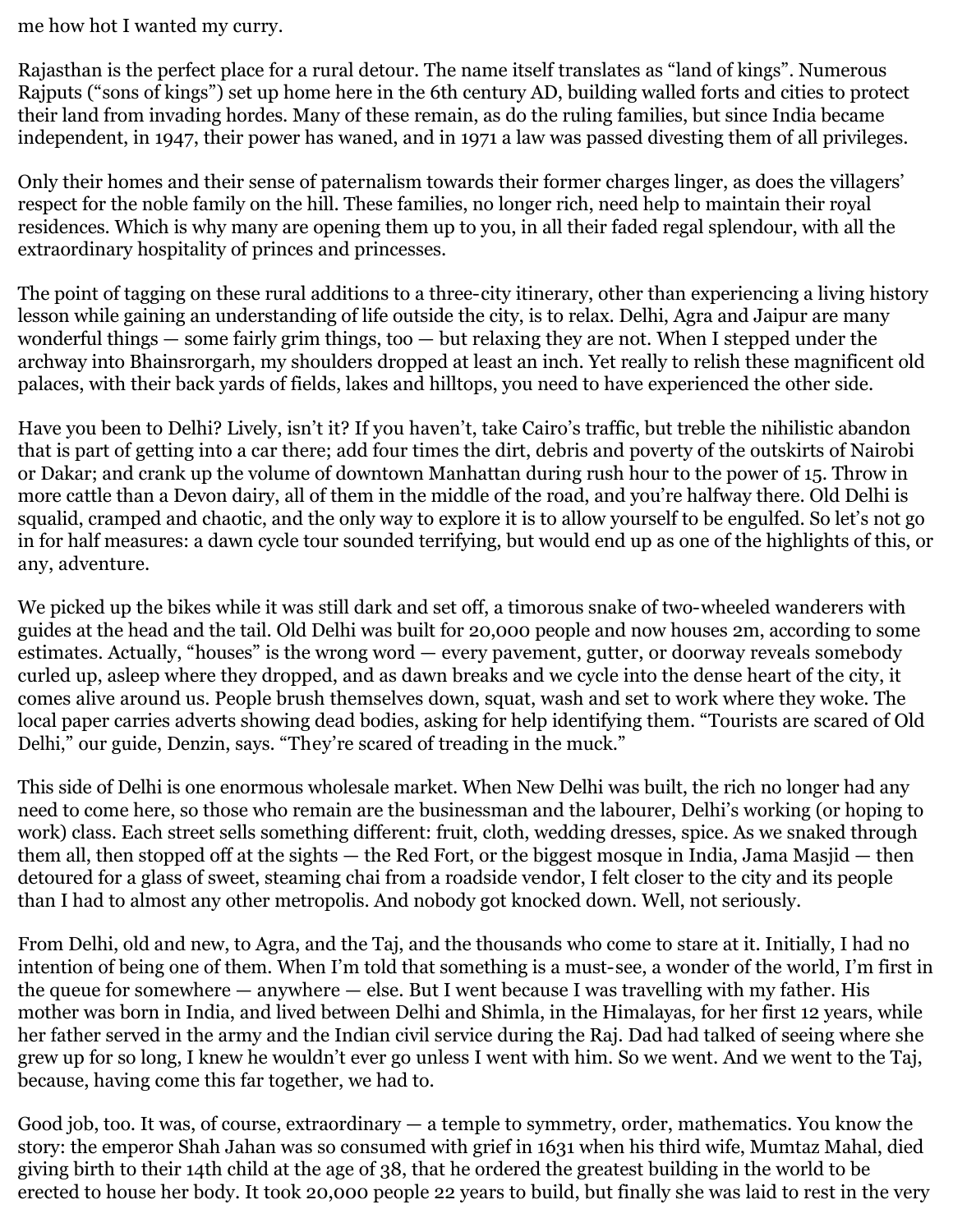me how hot I wanted my curry.

Rajasthan is the perfect place for a rural detour. The name itself translates as "land of kings". Numerous Rajputs ("sons of kings") set up home here in the 6th century AD, building walled forts and cities to protect their land from invading hordes. Many of these remain, as do the ruling families, but since India became independent, in 1947, their power has waned, and in 1971 a law was passed divesting them of all privileges.

Only their homes and their sense of paternalism towards their former charges linger, as does the villagers' respect for the noble family on the hill. These families, no longer rich, need help to maintain their royal residences. Which is why many are opening them up to you, in all their faded regal splendour, with all the extraordinary hospitality of princes and princesses.

The point of tagging on these rural additions to a three-city itinerary, other than experiencing a living history lesson while gaining an understanding of life outside the city, is to relax. Delhi, Agra and Jaipur are many wonderful things  $-$  some fairly grim things, too  $-$  but relaxing they are not. When I stepped under the archway into Bhainsrorgarh, my shoulders dropped at least an inch. Yet really to relish these magnificent old palaces, with their back yards of fields, lakes and hilltops, you need to have experienced the other side.

Have you been to Delhi? Lively, isn't it? If you haven't, take Cairo's traffic, but treble the nihilistic abandon that is part of getting into a car there; add four times the dirt, debris and poverty of the outskirts of Nairobi or Dakar; and crank up the volume of downtown Manhattan during rush hour to the power of 15. Throw in more cattle than a Devon dairy, all of them in the middle of the road, and you're halfway there. Old Delhi is squalid, cramped and chaotic, and the only way to explore it is to allow yourself to be engulfed. So let's not go in for half measures: a dawn cycle tour sounded terrifying, but would end up as one of the highlights of this, or any, adventure.

We picked up the bikes while it was still dark and set off, a timorous snake of two-wheeled wanderers with guides at the head and the tail. Old Delhi was built for 20,000 people and now houses 2m, according to some estimates. Actually, "houses" is the wrong word — every pavement, gutter, or doorway reveals somebody curled up, asleep where they dropped, and as dawn breaks and we cycle into the dense heart of the city, it comes alive around us. People brush themselves down, squat, wash and set to work where they woke. The local paper carries adverts showing dead bodies, asking for help identifying them. "Tourists are scared of Old Delhi," our guide, Denzin, says. "They're scared of treading in the muck."

This side of Delhi is one enormous wholesale market. When New Delhi was built, the rich no longer had any need to come here, so those who remain are the businessman and the labourer, Delhi's working (or hoping to work) class. Each street sells something different: fruit, cloth, wedding dresses, spice. As we snaked through them all, then stopped off at the sights — the Red Fort, or the biggest mosque in India, Jama Masjid — then detoured for a glass of sweet, steaming chai from a roadside vendor, I felt closer to the city and its people than I had to almost any other metropolis. And nobody got knocked down. Well, not seriously.

From Delhi, old and new, to Agra, and the Taj, and the thousands who come to stare at it. Initially, I had no intention of being one of them. When I'm told that something is a must-see, a wonder of the world, I'm first in the queue for somewhere — anywhere — else. But I went because I was travelling with my father. His mother was born in India, and lived between Delhi and Shimla, in the Himalayas, for her first 12 years, while her father served in the army and the Indian civil service during the Raj. Dad had talked of seeing where she grew up for so long, I knew he wouldn't ever go unless I went with him. So we went. And we went to the Taj, because, having come this far together, we had to.

Good job, too. It was, of course, extraordinary — a temple to symmetry, order, mathematics. You know the story: the emperor Shah Jahan was so consumed with grief in 1631 when his third wife, Mumtaz Mahal, died giving birth to their 14th child at the age of 38, that he ordered the greatest building in the world to be erected to house her body. It took 20,000 people 22 years to build, but finally she was laid to rest in the very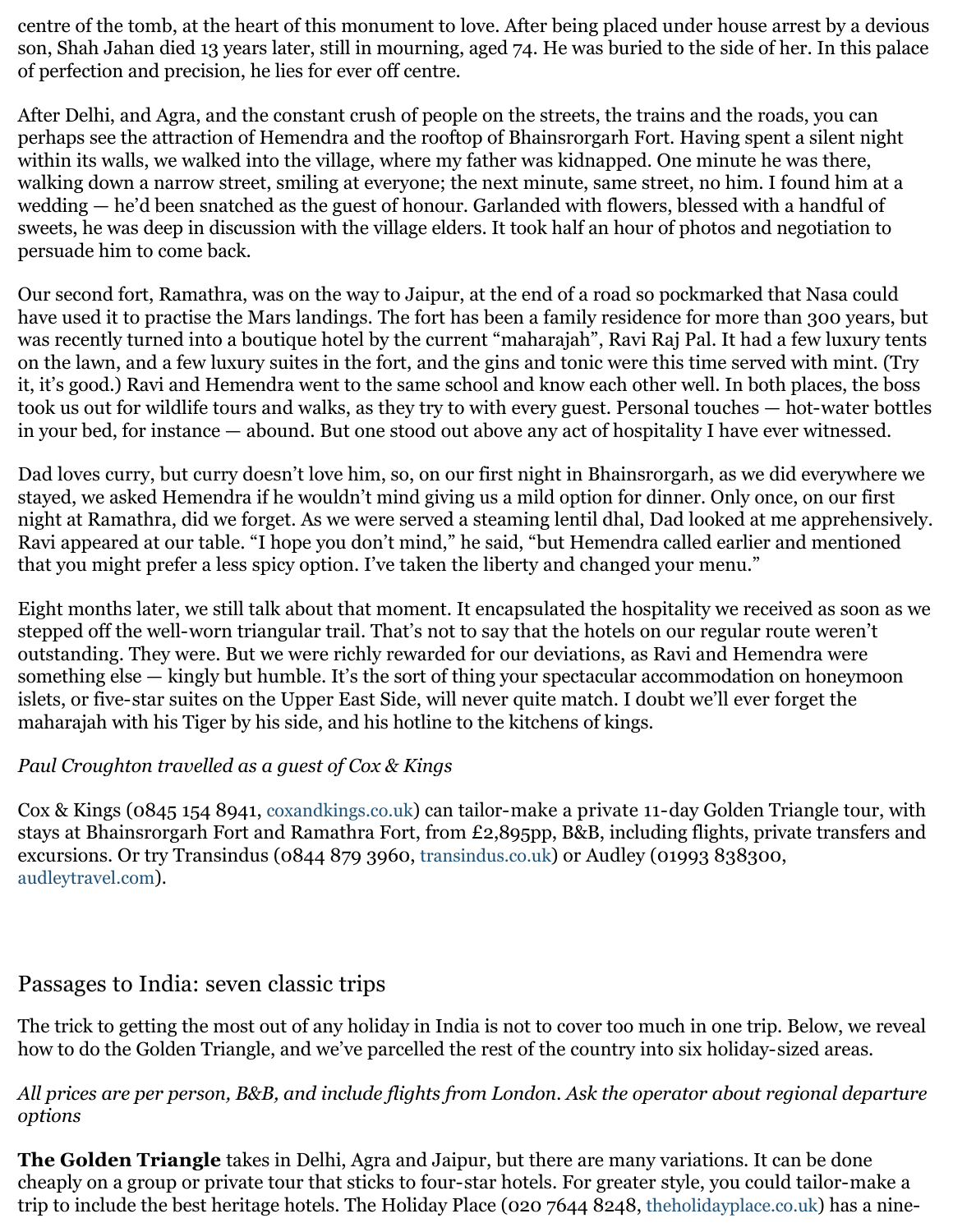centre of the tomb, at the heart of this monument to love. After being placed under house arrest by a devious son, Shah Jahan died 13 years later, still in mourning, aged 74. He was buried to the side of her. In this palace of perfection and precision, he lies for ever off centre.

After Delhi, and Agra, and the constant crush of people on the streets, the trains and the roads, you can perhaps see the attraction of Hemendra and the rooftop of Bhainsrorgarh Fort. Having spent a silent night within its walls, we walked into the village, where my father was kidnapped. One minute he was there, walking down a narrow street, smiling at everyone; the next minute, same street, no him. I found him at a wedding — he'd been snatched as the guest of honour. Garlanded with flowers, blessed with a handful of sweets, he was deep in discussion with the village elders. It took half an hour of photos and negotiation to persuade him to come back.

Our second fort, Ramathra, was on the way to Jaipur, at the end of a road so pockmarked that Nasa could have used it to practise the Mars landings. The fort has been a family residence for more than 300 years, but was recently turned into a boutique hotel by the current "maharajah", Ravi Raj Pal. It had a few luxury tents on the lawn, and a few luxury suites in the fort, and the gins and tonic were this time served with mint. (Try it, it's good.) Ravi and Hemendra went to the same school and know each other well. In both places, the boss took us out for wildlife tours and walks, as they try to with every guest. Personal touches — hot-water bottles in your bed, for instance — abound. But one stood out above any act of hospitality I have ever witnessed.

Dad loves curry, but curry doesn't love him, so, on our first night in Bhainsrorgarh, as we did everywhere we stayed, we asked Hemendra if he wouldn't mind giving us a mild option for dinner. Only once, on our first night at Ramathra, did we forget. As we were served a steaming lentil dhal, Dad looked at me apprehensively. Ravi appeared at our table. "I hope you don't mind," he said, "but Hemendra called earlier and mentioned that you might prefer a less spicy option. I've taken the liberty and changed your menu."

Eight months later, we still talk about that moment. It encapsulated the hospitality we received as soon as we stepped off the well-worn triangular trail. That's not to say that the hotels on our regular route weren't outstanding. They were. But we were richly rewarded for our deviations, as Ravi and Hemendra were something else — kingly but humble. It's the sort of thing your spectacular accommodation on honeymoon islets, or five-star suites on the Upper East Side, will never quite match. I doubt we'll ever forget the maharajah with his Tiger by his side, and his hotline to the kitchens of kings.

#### *Paul Croughton travelled as a guest of Cox & Kings*

Cox & Kings (0845 154 8941, coxandkings.co.uk) can tailor-make a private 11-day Golden Triangle tour, with stays at Bhainsrorgarh Fort and Ramathra Fort, from £2,895pp, B&B, including flights, private transfers and excursions. Or try Transindus (0844 879 3960, transindus.co.uk) or Audley (01993 838300, audleytravel.com).

### Passages to India: seven classic trips

The trick to getting the most out of any holiday in India is not to cover too much in one trip. Below, we reveal how to do the Golden Triangle, and we've parcelled the rest of the country into six holiday-sized areas.

#### *All prices are per person, B&B, and include flights from London. Ask the operator about regional departure options*

**The Golden Triangle** takes in Delhi, Agra and Jaipur, but there are many variations. It can be done cheaply on a group or private tour that sticks to four-star hotels. For greater style, you could tailor-make a trip to include the best heritage hotels. The Holiday Place (020 7644 8248, theholidayplace.co.uk) has a nine-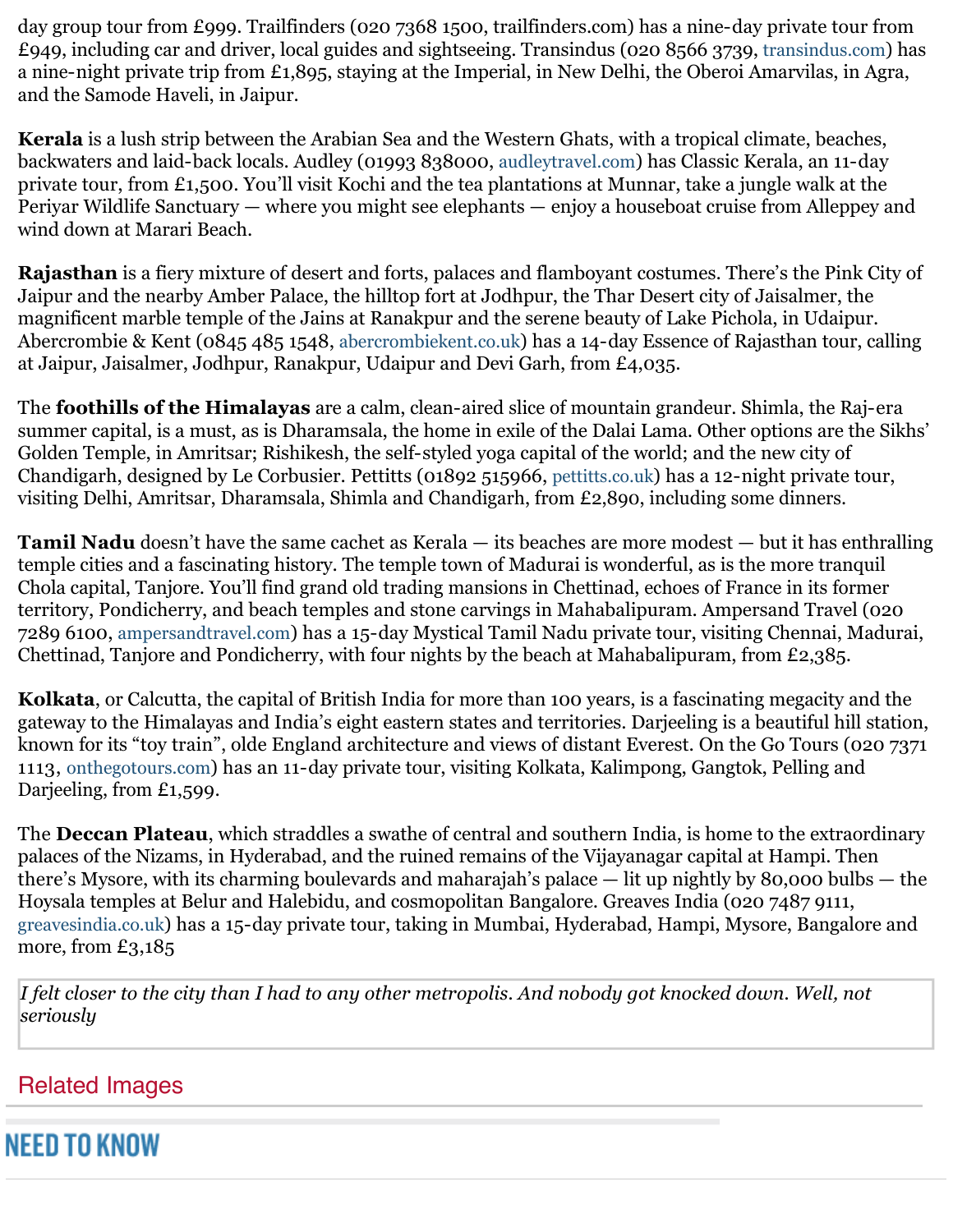day group tour from £999. Trailfinders (020 7368 1500, trailfinders.com) has a nine-day private tour from £949, including car and driver, local guides and sightseeing. Transindus (020 8566 3739, transindus.com) has a nine-night private trip from £1,895, staying at the Imperial, in New Delhi, the Oberoi Amarvilas, in Agra, and the Samode Haveli, in Jaipur.

**Kerala** is a lush strip between the Arabian Sea and the Western Ghats, with a tropical climate, beaches, backwaters and laid-back locals. Audley (01993 838000, audleytravel.com) has Classic Kerala, an 11-day private tour, from £1,500. You'll visit Kochi and the tea plantations at Munnar, take a jungle walk at the Periyar Wildlife Sanctuary — where you might see elephants — enjoy a houseboat cruise from Alleppey and wind down at Marari Beach.

**Rajasthan** is a fiery mixture of desert and forts, palaces and flamboyant costumes. There's the Pink City of Jaipur and the nearby Amber Palace, the hilltop fort at Jodhpur, the Thar Desert city of Jaisalmer, the magnificent marble temple of the Jains at Ranakpur and the serene beauty of Lake Pichola, in Udaipur. Abercrombie & Kent (0845 485 1548, abercrombiekent.co.uk) has a 14-day Essence of Rajasthan tour, calling at Jaipur, Jaisalmer, Jodhpur, Ranakpur, Udaipur and Devi Garh, from £4,035.

The **foothills of the Himalayas** are a calm, clean-aired slice of mountain grandeur. Shimla, the Raj-era summer capital, is a must, as is Dharamsala, the home in exile of the Dalai Lama. Other options are the Sikhs' Golden Temple, in Amritsar; Rishikesh, the self-styled yoga capital of the world; and the new city of Chandigarh, designed by Le Corbusier. Pettitts (01892 515966, pettitts.co.uk) has a 12-night private tour, visiting Delhi, Amritsar, Dharamsala, Shimla and Chandigarh, from £2,890, including some dinners.

**Tamil Nadu** doesn't have the same cachet as Kerala — its beaches are more modest — but it has enthralling temple cities and a fascinating history. The temple town of Madurai is wonderful, as is the more tranquil Chola capital, Tanjore. You'll find grand old trading mansions in Chettinad, echoes of France in its former territory, Pondicherry, and beach temples and stone carvings in Mahabalipuram. Ampersand Travel (020 7289 6100, ampersandtravel.com) has a 15-day Mystical Tamil Nadu private tour, visiting Chennai, Madurai, Chettinad, Tanjore and Pondicherry, with four nights by the beach at Mahabalipuram, from £2,385.

**Kolkata**, or Calcutta, the capital of British India for more than 100 years, is a fascinating megacity and the gateway to the Himalayas and India's eight eastern states and territories. Darjeeling is a beautiful hill station, known for its "toy train", olde England architecture and views of distant Everest. On the Go Tours (020 7371 1113, onthegotours.com) has an 11-day private tour, visiting Kolkata, Kalimpong, Gangtok, Pelling and Darjeeling, from £1,599.

The **Deccan Plateau**, which straddles a swathe of central and southern India, is home to the extraordinary palaces of the Nizams, in Hyderabad, and the ruined remains of the Vijayanagar capital at Hampi. Then there's Mysore, with its charming boulevards and maharajah's palace — lit up nightly by 80,000 bulbs — the Hoysala temples at Belur and Halebidu, and cosmopolitan Bangalore. Greaves India (020 7487 9111, greavesindia.co.uk) has a 15-day private tour, taking in Mumbai, Hyderabad, Hampi, Mysore, Bangalore and more, from £3,185

*I felt closer to the city than I had to any other metropolis. And nobody got knocked down. Well, not seriously* 

## Related Images

# NEED TO KNOW